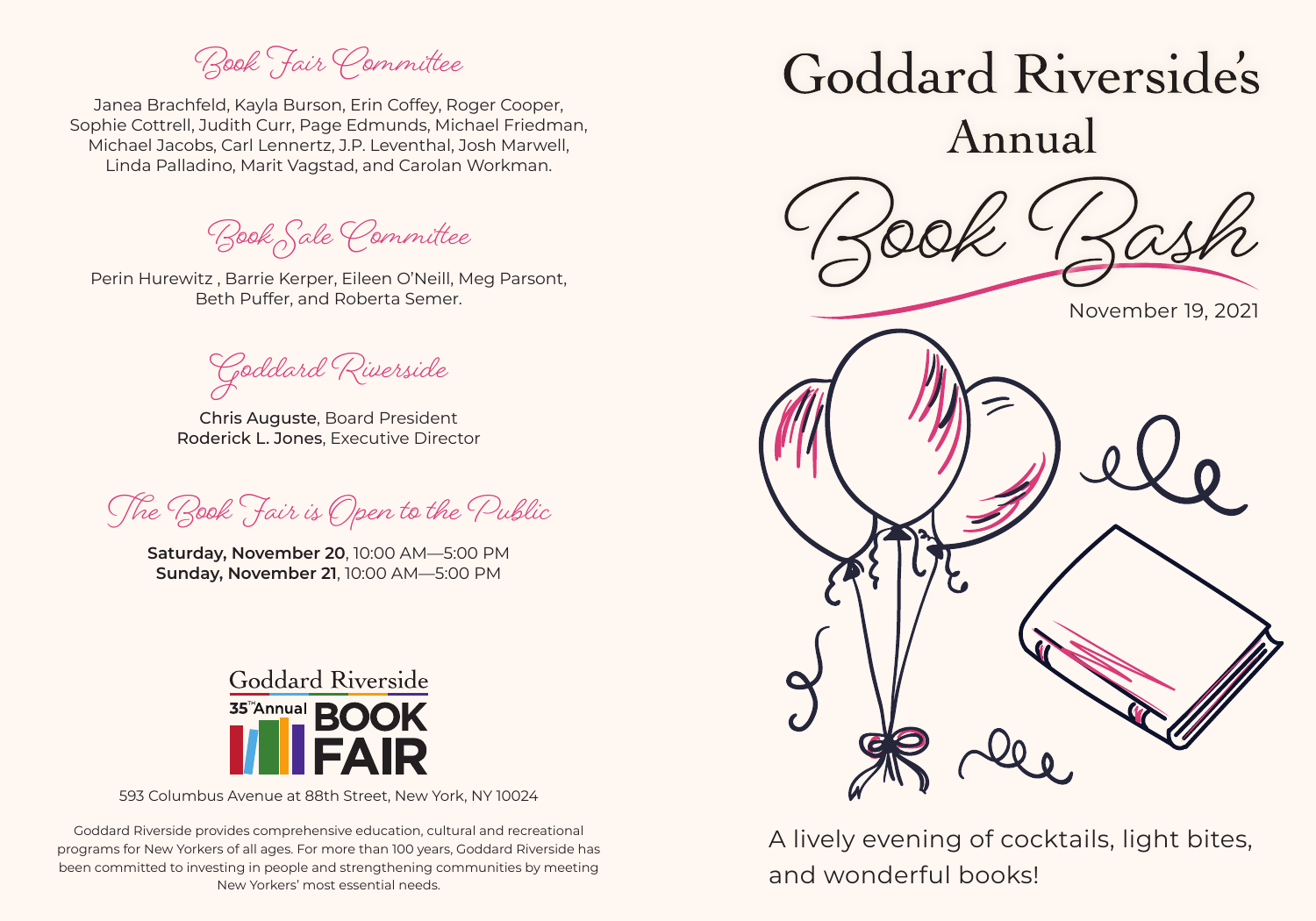**Book Fair Committee**

Janea Brachfeld, Kayla Burson, Erin Coffey, Roger Cooper, Sophie Cottrell, Judith Curr, Page Edmunds, Michael Friedman, Michael Jacobs, Carl Lennertz, J.P. Leventhal, Josh Marwell, Linda Palladino, Marit Vagstad, and Carolan Workman.

**Book Sale Committee**

Perin Hurewitz , Barrie Kerper, Eileen O'Neill, Meg Parsont, Beth Puffer, and Roberta Semer.

**Goddard Riverside**

Chris Auguste, Board President Roderick L. Jones, Executive Director

**The Book Fair is Open to the Public** 

**Saturday, November 20**, 10:00 AM—5:00 PM **Sunday, November 21**, 10:00 AM—5:00 PM



593 Columbus Avenue at 88th Street, New York, NY 10024

Goddard Riverside provides comprehensive education, cultural and recreational programs for New Yorkers of all ages. For more than 100 years, Goddard Riverside has been committed to investing in people and strengthening communities by meeting New Yorkers' most essential needs.



A lively evening of cocktails, light bites, and wonderful books!